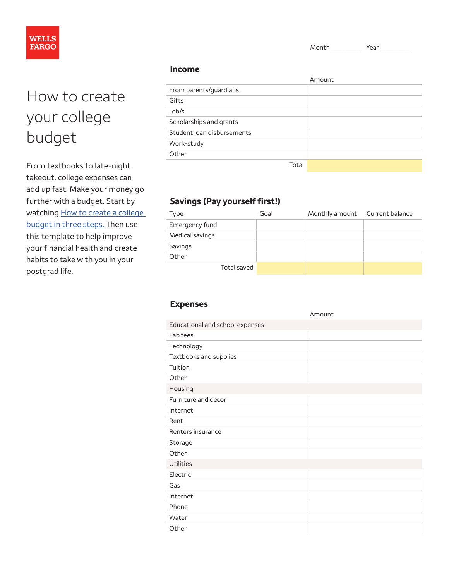Month Year



# How to create your college budget

From textbooks to late-night takeout, college expenses can add up fast. Make your money go further with a budget. Start by watching How to create a college [budget in three steps.](https://collegesteps.wf.com/how-to-create-a-college-budget-in-three-steps/) Then use this template to help improve your financial health and create habits to take with you in your postgrad life.

#### **Income**

|                            | Amount |
|----------------------------|--------|
| From parents/guardians     |        |
| Gifts                      |        |
| Job/s                      |        |
| Scholarships and grants    |        |
| Student loan disbursements |        |
| Work-study                 |        |
| Other                      |        |
| Total                      |        |

## **Savings (Pay yourself first!)**

| Type            | Goal | Monthly amount Current balance |  |
|-----------------|------|--------------------------------|--|
| Emergency fund  |      |                                |  |
| Medical savings |      |                                |  |
| Savings         |      |                                |  |
| Other           |      |                                |  |
| Total saved     |      |                                |  |

### **Expenses**

|                                 | Amount |
|---------------------------------|--------|
| Educational and school expenses |        |
| Lab fees                        |        |
| Technology                      |        |
| Textbooks and supplies          |        |
| Tuition                         |        |
| Other                           |        |
| Housing                         |        |
| Furniture and decor             |        |
| Internet                        |        |
| Rent                            |        |
| Renters insurance               |        |
| Storage                         |        |
| Other                           |        |
| Utilities                       |        |
| Electric                        |        |
| Gas                             |        |
| Internet                        |        |
| Phone                           |        |
| Water                           |        |
| Other                           |        |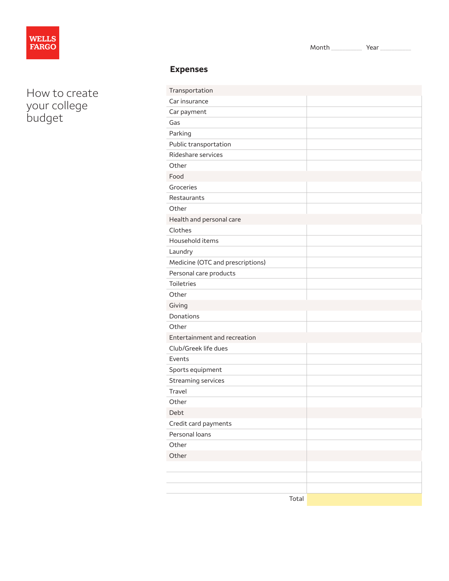

How to create your college budget

| Transportation                   |  |
|----------------------------------|--|
| Car insurance                    |  |
| Car payment                      |  |
| Gas                              |  |
| Parking                          |  |
| Public transportation            |  |
| Rideshare services               |  |
| Other                            |  |
| Food                             |  |
| Groceries                        |  |
| Restaurants                      |  |
| Other                            |  |
| Health and personal care         |  |
| Clothes                          |  |
| Household items                  |  |
| Laundry                          |  |
| Medicine (OTC and prescriptions) |  |
| Personal care products           |  |
| Toiletries                       |  |
| Other                            |  |
| Giving                           |  |
| Donations                        |  |
| Other                            |  |
| Entertainment and recreation     |  |
| Club/Greek life dues             |  |
| Events                           |  |
| Sports equipment                 |  |
| Streaming services               |  |
| Travel                           |  |
| Other                            |  |
| Debt                             |  |
| Credit card payments             |  |
| Personal loans                   |  |
| Other                            |  |
| Other                            |  |
|                                  |  |
|                                  |  |
|                                  |  |
| Total                            |  |

Month \_\_\_\_\_\_\_\_\_\_\_ Year \_\_\_\_\_\_\_\_\_\_\_